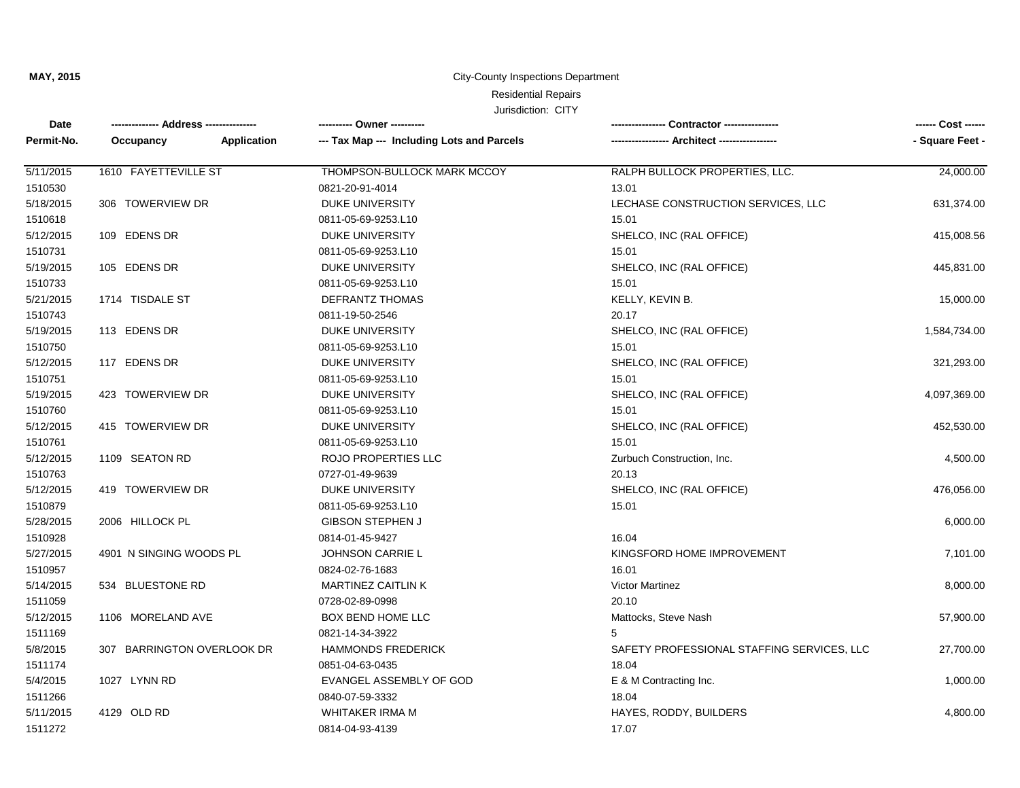#### City-County Inspections Department

## Residential Repairs

| Date       | -------------- Address --------------- |             | ---------- Owner ----------                | Contractor ---------------                 |                 |
|------------|----------------------------------------|-------------|--------------------------------------------|--------------------------------------------|-----------------|
| Permit-No. | Occupancy                              | Application | --- Tax Map --- Including Lots and Parcels |                                            | - Square Feet - |
| 5/11/2015  | 1610 FAYETTEVILLE ST                   |             | THOMPSON-BULLOCK MARK MCCOY                | RALPH BULLOCK PROPERTIES, LLC.             | 24,000.00       |
| 1510530    |                                        |             | 0821-20-91-4014                            | 13.01                                      |                 |
| 5/18/2015  | 306 TOWERVIEW DR                       |             | <b>DUKE UNIVERSITY</b>                     | LECHASE CONSTRUCTION SERVICES, LLC         | 631,374.00      |
| 1510618    |                                        |             | 0811-05-69-9253.L10                        | 15.01                                      |                 |
| 5/12/2015  | 109 EDENS DR                           |             | <b>DUKE UNIVERSITY</b>                     | SHELCO, INC (RAL OFFICE)                   | 415,008.56      |
| 1510731    |                                        |             | 0811-05-69-9253.L10                        | 15.01                                      |                 |
| 5/19/2015  | 105 EDENS DR                           |             | DUKE UNIVERSITY                            | SHELCO, INC (RAL OFFICE)                   | 445,831.00      |
| 1510733    |                                        |             | 0811-05-69-9253.L10                        | 15.01                                      |                 |
| 5/21/2015  | 1714 TISDALE ST                        |             | <b>DEFRANTZ THOMAS</b>                     | KELLY, KEVIN B.                            | 15,000.00       |
| 1510743    |                                        |             | 0811-19-50-2546                            | 20.17                                      |                 |
| 5/19/2015  | 113 EDENS DR                           |             | <b>DUKE UNIVERSITY</b>                     | SHELCO, INC (RAL OFFICE)                   | 1,584,734.00    |
| 1510750    |                                        |             | 0811-05-69-9253.L10                        | 15.01                                      |                 |
| 5/12/2015  | 117 EDENS DR                           |             | DUKE UNIVERSITY                            | SHELCO, INC (RAL OFFICE)                   | 321,293.00      |
| 1510751    |                                        |             | 0811-05-69-9253.L10                        | 15.01                                      |                 |
| 5/19/2015  | 423 TOWERVIEW DR                       |             | DUKE UNIVERSITY                            | SHELCO, INC (RAL OFFICE)                   | 4,097,369.00    |
| 1510760    |                                        |             | 0811-05-69-9253.L10                        | 15.01                                      |                 |
| 5/12/2015  | 415 TOWERVIEW DR                       |             | <b>DUKE UNIVERSITY</b>                     | SHELCO, INC (RAL OFFICE)                   | 452,530.00      |
| 1510761    |                                        |             | 0811-05-69-9253.L10                        | 15.01                                      |                 |
| 5/12/2015  | 1109 SEATON RD                         |             | ROJO PROPERTIES LLC                        | Zurbuch Construction, Inc.                 | 4,500.00        |
| 1510763    |                                        |             | 0727-01-49-9639                            | 20.13                                      |                 |
| 5/12/2015  | 419 TOWERVIEW DR                       |             | <b>DUKE UNIVERSITY</b>                     | SHELCO, INC (RAL OFFICE)                   | 476,056.00      |
| 1510879    |                                        |             | 0811-05-69-9253.L10                        | 15.01                                      |                 |
| 5/28/2015  | 2006 HILLOCK PL                        |             | <b>GIBSON STEPHEN J</b>                    |                                            | 6,000.00        |
| 1510928    |                                        |             | 0814-01-45-9427                            | 16.04                                      |                 |
| 5/27/2015  | 4901 N SINGING WOODS PL                |             | <b>JOHNSON CARRIE L</b>                    | KINGSFORD HOME IMPROVEMENT                 | 7,101.00        |
| 1510957    |                                        |             | 0824-02-76-1683                            | 16.01                                      |                 |
| 5/14/2015  | 534 BLUESTONE RD                       |             | <b>MARTINEZ CAITLIN K</b>                  | Victor Martinez                            | 8,000.00        |
| 1511059    |                                        |             | 0728-02-89-0998                            | 20.10                                      |                 |
| 5/12/2015  | 1106 MORELAND AVE                      |             | <b>BOX BEND HOME LLC</b>                   | Mattocks, Steve Nash                       | 57,900.00       |
| 1511169    |                                        |             | 0821-14-34-3922                            | 5                                          |                 |
| 5/8/2015   | 307 BARRINGTON OVERLOOK DR             |             | <b>HAMMONDS FREDERICK</b>                  | SAFETY PROFESSIONAL STAFFING SERVICES, LLC | 27,700.00       |
| 1511174    |                                        |             | 0851-04-63-0435                            | 18.04                                      |                 |
| 5/4/2015   | 1027 LYNN RD                           |             | EVANGEL ASSEMBLY OF GOD                    | E & M Contracting Inc.                     | 1,000.00        |
| 1511266    |                                        |             | 0840-07-59-3332                            | 18.04                                      |                 |
| 5/11/2015  | 4129 OLD RD                            |             | <b>WHITAKER IRMA M</b>                     | HAYES, RODDY, BUILDERS                     | 4,800.00        |
| 1511272    |                                        |             | 0814-04-93-4139                            | 17.07                                      |                 |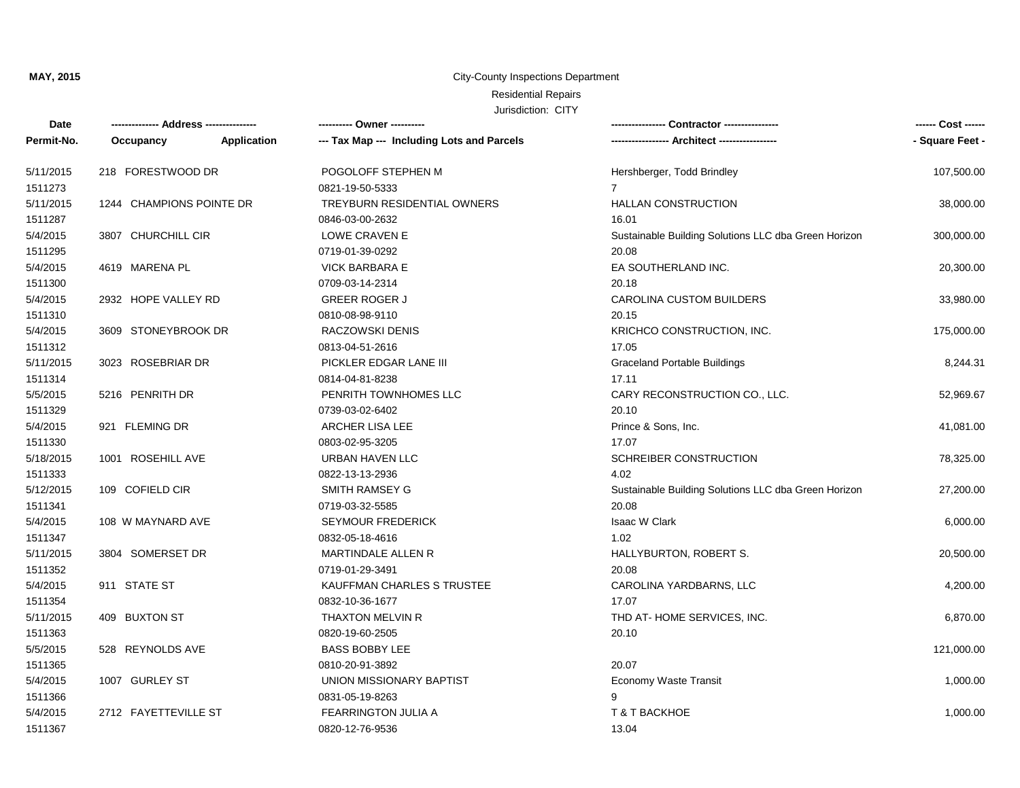#### City-County Inspections Department

## Residential Repairs

| Date       | -------------- Address --------------- |             | ---------- Owner ----------                |                                                      | ------ Cost ------ |
|------------|----------------------------------------|-------------|--------------------------------------------|------------------------------------------------------|--------------------|
| Permit-No. | Occupancy                              | Application | --- Tax Map --- Including Lots and Parcels |                                                      | - Square Feet -    |
| 5/11/2015  | 218 FORESTWOOD DR                      |             | POGOLOFF STEPHEN M                         | Hershberger, Todd Brindley                           | 107,500.00         |
| 1511273    |                                        |             | 0821-19-50-5333                            | $\overline{7}$                                       |                    |
| 5/11/2015  | 1244 CHAMPIONS POINTE DR               |             | <b>TREYBURN RESIDENTIAL OWNERS</b>         | <b>HALLAN CONSTRUCTION</b>                           | 38,000.00          |
| 1511287    |                                        |             | 0846-03-00-2632                            | 16.01                                                |                    |
| 5/4/2015   | 3807 CHURCHILL CIR                     |             | LOWE CRAVEN E                              | Sustainable Building Solutions LLC dba Green Horizon | 300,000.00         |
| 1511295    |                                        |             | 0719-01-39-0292                            | 20.08                                                |                    |
| 5/4/2015   | 4619 MARENA PL                         |             | <b>VICK BARBARA E</b>                      | EA SOUTHERLAND INC.                                  | 20,300.00          |
| 1511300    |                                        |             | 0709-03-14-2314                            | 20.18                                                |                    |
| 5/4/2015   | 2932 HOPE VALLEY RD                    |             | <b>GREER ROGER J</b>                       | <b>CAROLINA CUSTOM BUILDERS</b>                      | 33,980.00          |
| 1511310    |                                        |             | 0810-08-98-9110                            | 20.15                                                |                    |
| 5/4/2015   | 3609 STONEYBROOK DR                    |             | RACZOWSKI DENIS                            | KRICHCO CONSTRUCTION, INC.                           | 175,000.00         |
| 1511312    |                                        |             | 0813-04-51-2616                            | 17.05                                                |                    |
| 5/11/2015  | 3023 ROSEBRIAR DR                      |             | PICKLER EDGAR LANE III                     | <b>Graceland Portable Buildings</b>                  | 8,244.31           |
| 1511314    |                                        |             | 0814-04-81-8238                            | 17.11                                                |                    |
| 5/5/2015   | 5216 PENRITH DR                        |             | PENRITH TOWNHOMES LLC                      | CARY RECONSTRUCTION CO., LLC.                        | 52,969.67          |
| 1511329    |                                        |             | 0739-03-02-6402                            | 20.10                                                |                    |
| 5/4/2015   | 921 FLEMING DR                         |             | <b>ARCHER LISA LEE</b>                     | Prince & Sons, Inc.                                  | 41,081.00          |
| 1511330    |                                        |             | 0803-02-95-3205                            | 17.07                                                |                    |
| 5/18/2015  | 1001 ROSEHILL AVE                      |             | URBAN HAVEN LLC                            | SCHREIBER CONSTRUCTION                               | 78,325.00          |
| 1511333    |                                        |             | 0822-13-13-2936                            | 4.02                                                 |                    |
| 5/12/2015  | 109 COFIELD CIR                        |             | <b>SMITH RAMSEY G</b>                      | Sustainable Building Solutions LLC dba Green Horizon | 27,200.00          |
| 1511341    |                                        |             | 0719-03-32-5585                            | 20.08                                                |                    |
| 5/4/2015   | 108 W MAYNARD AVE                      |             | <b>SEYMOUR FREDERICK</b>                   | Isaac W Clark                                        | 6,000.00           |
| 1511347    |                                        |             | 0832-05-18-4616                            | 1.02                                                 |                    |
| 5/11/2015  | 3804 SOMERSET DR                       |             | MARTINDALE ALLEN R                         | HALLYBURTON, ROBERT S.                               | 20,500.00          |
| 1511352    |                                        |             | 0719-01-29-3491                            | 20.08                                                |                    |
| 5/4/2015   | 911 STATE ST                           |             | KAUFFMAN CHARLES S TRUSTEE                 | CAROLINA YARDBARNS, LLC                              | 4,200.00           |
| 1511354    |                                        |             | 0832-10-36-1677                            | 17.07                                                |                    |
| 5/11/2015  | 409 BUXTON ST                          |             | <b>THAXTON MELVIN R</b>                    | THD AT-HOME SERVICES, INC.                           | 6,870.00           |
| 1511363    |                                        |             | 0820-19-60-2505                            | 20.10                                                |                    |
| 5/5/2015   | 528 REYNOLDS AVE                       |             | <b>BASS BOBBY LEE</b>                      |                                                      | 121,000.00         |
| 1511365    |                                        |             | 0810-20-91-3892                            | 20.07                                                |                    |
| 5/4/2015   | 1007 GURLEY ST                         |             | UNION MISSIONARY BAPTIST                   | Economy Waste Transit                                | 1,000.00           |
| 1511366    |                                        |             | 0831-05-19-8263                            | 9                                                    |                    |
| 5/4/2015   | 2712 FAYETTEVILLE ST                   |             | <b>FEARRINGTON JULIA A</b>                 | T & T BACKHOE                                        | 1,000.00           |
| 1511367    |                                        |             | 0820-12-76-9536                            | 13.04                                                |                    |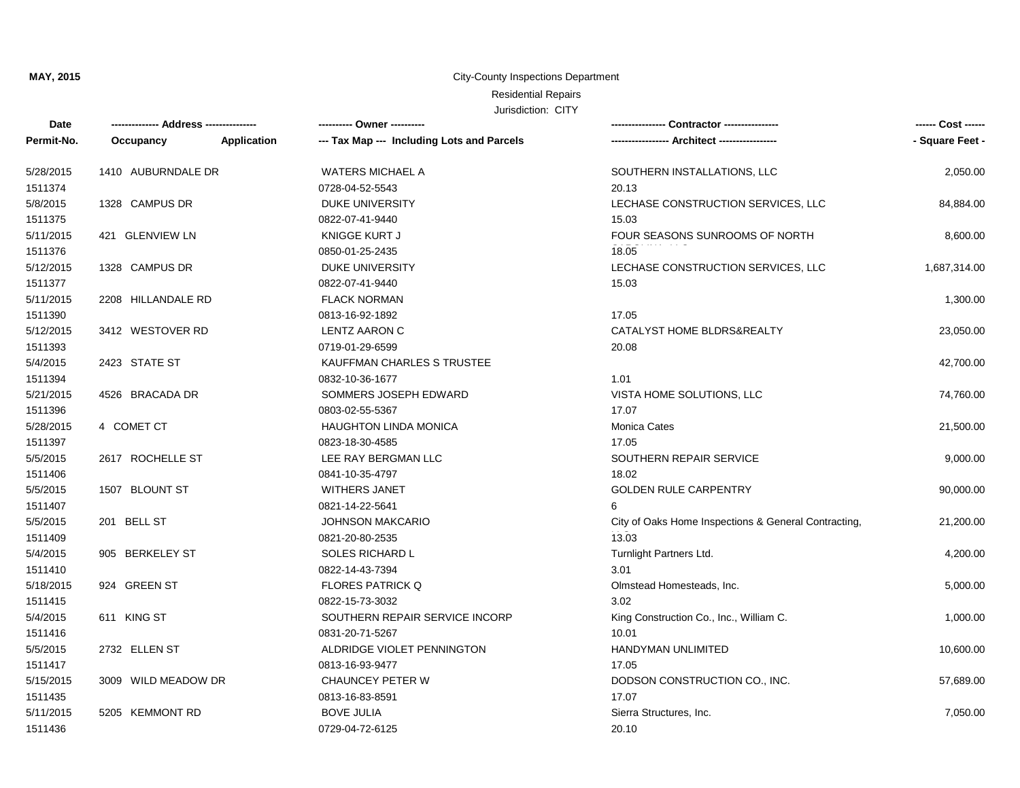#### City-County Inspections Department

# Residential Repairs

| Date       | -------------- Address --------------- |             | ---------- Owner ----------                |                                                      | ------ Cost ------ |
|------------|----------------------------------------|-------------|--------------------------------------------|------------------------------------------------------|--------------------|
| Permit-No. | Occupancy                              | Application | --- Tax Map --- Including Lots and Parcels | --- Architect ------------------                     | - Square Feet -    |
| 5/28/2015  | 1410 AUBURNDALE DR                     |             | <b>WATERS MICHAEL A</b>                    | SOUTHERN INSTALLATIONS, LLC                          | 2,050.00           |
| 1511374    |                                        |             | 0728-04-52-5543                            | 20.13                                                |                    |
| 5/8/2015   | 1328 CAMPUS DR                         |             | <b>DUKE UNIVERSITY</b>                     | LECHASE CONSTRUCTION SERVICES, LLC                   | 84,884.00          |
| 1511375    |                                        |             | 0822-07-41-9440                            | 15.03                                                |                    |
| 5/11/2015  | 421 GLENVIEW LN                        |             | KNIGGE KURT J                              | FOUR SEASONS SUNROOMS OF NORTH                       | 8,600.00           |
| 1511376    |                                        |             | 0850-01-25-2435                            | 18.05                                                |                    |
| 5/12/2015  | 1328 CAMPUS DR                         |             | <b>DUKE UNIVERSITY</b>                     | LECHASE CONSTRUCTION SERVICES, LLC                   | 1,687,314.00       |
| 1511377    |                                        |             | 0822-07-41-9440                            | 15.03                                                |                    |
| 5/11/2015  | 2208 HILLANDALE RD                     |             | <b>FLACK NORMAN</b>                        |                                                      | 1,300.00           |
| 1511390    |                                        |             | 0813-16-92-1892                            | 17.05                                                |                    |
| 5/12/2015  | 3412 WESTOVER RD                       |             | <b>LENTZ AARON C</b>                       | CATALYST HOME BLDRS&REALTY                           | 23,050.00          |
| 1511393    |                                        |             | 0719-01-29-6599                            | 20.08                                                |                    |
| 5/4/2015   | 2423 STATE ST                          |             | KAUFFMAN CHARLES S TRUSTEE                 |                                                      | 42,700.00          |
| 1511394    |                                        |             | 0832-10-36-1677                            | 1.01                                                 |                    |
| 5/21/2015  | 4526 BRACADA DR                        |             | SOMMERS JOSEPH EDWARD                      | VISTA HOME SOLUTIONS, LLC                            | 74,760.00          |
| 1511396    |                                        |             | 0803-02-55-5367                            | 17.07                                                |                    |
| 5/28/2015  | 4 COMET CT                             |             | <b>HAUGHTON LINDA MONICA</b>               | <b>Monica Cates</b>                                  | 21,500.00          |
| 1511397    |                                        |             | 0823-18-30-4585                            | 17.05                                                |                    |
| 5/5/2015   | 2617 ROCHELLE ST                       |             | LEE RAY BERGMAN LLC                        | SOUTHERN REPAIR SERVICE                              | 9,000.00           |
| 1511406    |                                        |             | 0841-10-35-4797                            | 18.02                                                |                    |
| 5/5/2015   | 1507 BLOUNT ST                         |             | <b>WITHERS JANET</b>                       | <b>GOLDEN RULE CARPENTRY</b>                         | 90,000.00          |
| 1511407    |                                        |             | 0821-14-22-5641                            | 6                                                    |                    |
| 5/5/2015   | 201 BELL ST                            |             | <b>JOHNSON MAKCARIO</b>                    | City of Oaks Home Inspections & General Contracting, | 21,200.00          |
| 1511409    |                                        |             | 0821-20-80-2535                            | 13.03                                                |                    |
| 5/4/2015   | 905 BERKELEY ST                        |             | SOLES RICHARD L                            | Turnlight Partners Ltd.                              | 4,200.00           |
| 1511410    |                                        |             | 0822-14-43-7394                            | 3.01                                                 |                    |
| 5/18/2015  | 924 GREEN ST                           |             | <b>FLORES PATRICK Q</b>                    | Olmstead Homesteads, Inc.                            | 5,000.00           |
| 1511415    |                                        |             | 0822-15-73-3032                            | 3.02                                                 |                    |
| 5/4/2015   | 611 KING ST                            |             | SOUTHERN REPAIR SERVICE INCORP             | King Construction Co., Inc., William C.              | 1,000.00           |
| 1511416    |                                        |             | 0831-20-71-5267                            | 10.01                                                |                    |
| 5/5/2015   | 2732 ELLEN ST                          |             | ALDRIDGE VIOLET PENNINGTON                 | HANDYMAN UNLIMITED                                   | 10,600.00          |
| 1511417    |                                        |             | 0813-16-93-9477                            | 17.05                                                |                    |
| 5/15/2015  | 3009 WILD MEADOW DR                    |             | CHAUNCEY PETER W                           | DODSON CONSTRUCTION CO., INC.                        | 57,689.00          |
| 1511435    |                                        |             | 0813-16-83-8591                            | 17.07                                                |                    |
| 5/11/2015  | 5205 KEMMONT RD                        |             | <b>BOVE JULIA</b>                          | Sierra Structures, Inc.                              | 7,050.00           |
| 1511436    |                                        |             | 0729-04-72-6125                            | 20.10                                                |                    |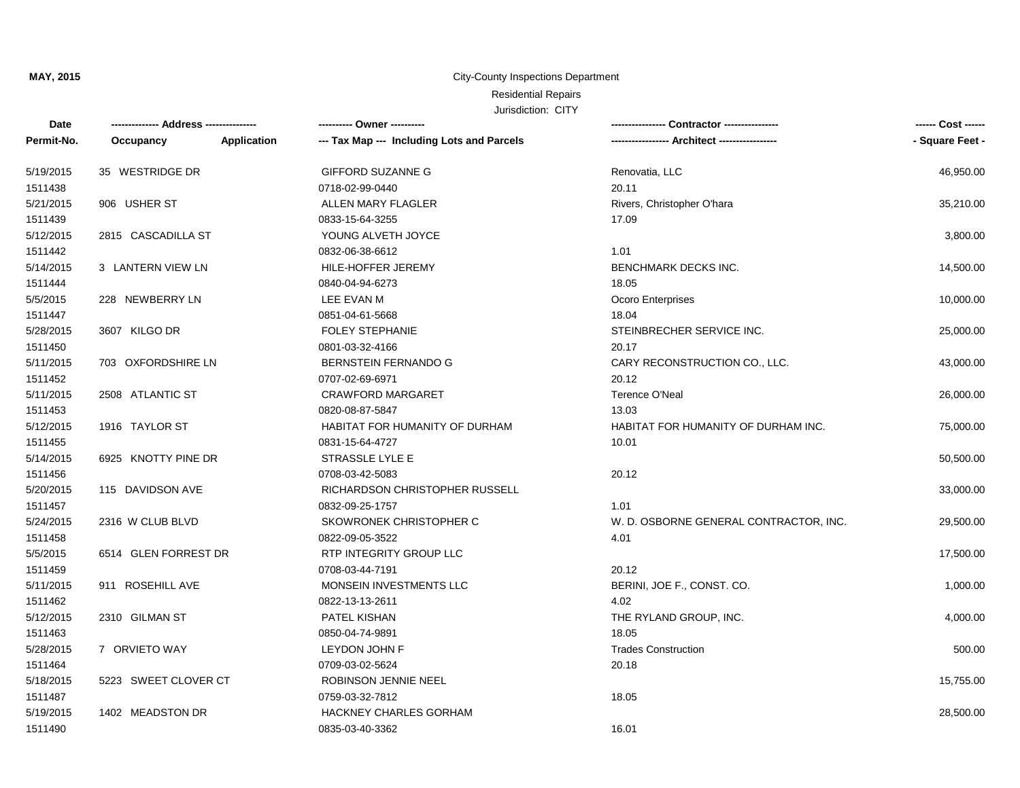#### City-County Inspections Department

# Residential Repairs

| Date       | -------------- Address --------------- |             | ---------- Owner ----------                |                                             | ------ Cost ------ |
|------------|----------------------------------------|-------------|--------------------------------------------|---------------------------------------------|--------------------|
| Permit-No. | Occupancy                              | Application | --- Tax Map --- Including Lots and Parcels | ---------------- Architect ---------------- | - Square Feet -    |
| 5/19/2015  | 35 WESTRIDGE DR                        |             | <b>GIFFORD SUZANNE G</b>                   | Renovatia, LLC                              | 46,950.00          |
| 1511438    |                                        |             | 0718-02-99-0440                            | 20.11                                       |                    |
| 5/21/2015  | 906 USHER ST                           |             | <b>ALLEN MARY FLAGLER</b>                  | Rivers, Christopher O'hara                  | 35,210.00          |
| 1511439    |                                        |             | 0833-15-64-3255                            | 17.09                                       |                    |
| 5/12/2015  | 2815 CASCADILLA ST                     |             | YOUNG ALVETH JOYCE                         |                                             | 3,800.00           |
| 1511442    |                                        |             | 0832-06-38-6612                            | 1.01                                        |                    |
| 5/14/2015  | 3 LANTERN VIEW LN                      |             | HILE-HOFFER JEREMY                         | BENCHMARK DECKS INC.                        | 14,500.00          |
| 1511444    |                                        |             | 0840-04-94-6273                            | 18.05                                       |                    |
| 5/5/2015   | 228 NEWBERRY LN                        |             | LEE EVAN M                                 | Ocoro Enterprises                           | 10,000.00          |
| 1511447    |                                        |             | 0851-04-61-5668                            | 18.04                                       |                    |
| 5/28/2015  | 3607 KILGO DR                          |             | <b>FOLEY STEPHANIE</b>                     | STEINBRECHER SERVICE INC.                   | 25,000.00          |
| 1511450    |                                        |             | 0801-03-32-4166                            | 20.17                                       |                    |
| 5/11/2015  | 703 OXFORDSHIRE LN                     |             | BERNSTEIN FERNANDO G                       | CARY RECONSTRUCTION CO., LLC.               | 43,000.00          |
| 1511452    |                                        |             | 0707-02-69-6971                            | 20.12                                       |                    |
| 5/11/2015  | 2508 ATLANTIC ST                       |             | <b>CRAWFORD MARGARET</b>                   | Terence O'Neal                              | 26,000.00          |
| 1511453    |                                        |             | 0820-08-87-5847                            | 13.03                                       |                    |
| 5/12/2015  | 1916 TAYLOR ST                         |             | <b>HABITAT FOR HUMANITY OF DURHAM</b>      | HABITAT FOR HUMANITY OF DURHAM INC.         | 75,000.00          |
| 1511455    |                                        |             | 0831-15-64-4727                            | 10.01                                       |                    |
| 5/14/2015  | 6925 KNOTTY PINE DR                    |             | STRASSLE LYLE E                            |                                             | 50,500.00          |
| 1511456    |                                        |             | 0708-03-42-5083                            | 20.12                                       |                    |
| 5/20/2015  | 115 DAVIDSON AVE                       |             | RICHARDSON CHRISTOPHER RUSSELL             |                                             | 33,000.00          |
| 1511457    |                                        |             | 0832-09-25-1757                            | 1.01                                        |                    |
| 5/24/2015  | 2316 W CLUB BLVD                       |             | SKOWRONEK CHRISTOPHER C                    | W. D. OSBORNE GENERAL CONTRACTOR, INC.      | 29,500.00          |
| 1511458    |                                        |             | 0822-09-05-3522                            | 4.01                                        |                    |
| 5/5/2015   | 6514 GLEN FORREST DR                   |             | RTP INTEGRITY GROUP LLC                    |                                             | 17,500.00          |
| 1511459    |                                        |             | 0708-03-44-7191                            | 20.12                                       |                    |
| 5/11/2015  | 911 ROSEHILL AVE                       |             | MONSEIN INVESTMENTS LLC                    | BERINI, JOE F., CONST. CO.                  | 1,000.00           |
| 1511462    |                                        |             | 0822-13-13-2611                            | 4.02                                        |                    |
| 5/12/2015  | 2310 GILMAN ST                         |             | PATEL KISHAN                               | THE RYLAND GROUP, INC.                      | 4,000.00           |
| 1511463    |                                        |             | 0850-04-74-9891                            | 18.05                                       |                    |
| 5/28/2015  | 7 ORVIETO WAY                          |             | LEYDON JOHN F                              | <b>Trades Construction</b>                  | 500.00             |
| 1511464    |                                        |             | 0709-03-02-5624                            | 20.18                                       |                    |
| 5/18/2015  | 5223 SWEET CLOVER CT                   |             | ROBINSON JENNIE NEEL                       |                                             | 15,755.00          |
| 1511487    |                                        |             | 0759-03-32-7812                            | 18.05                                       |                    |
| 5/19/2015  | 1402 MEADSTON DR                       |             | <b>HACKNEY CHARLES GORHAM</b>              |                                             | 28,500.00          |
| 1511490    |                                        |             | 0835-03-40-3362                            | 16.01                                       |                    |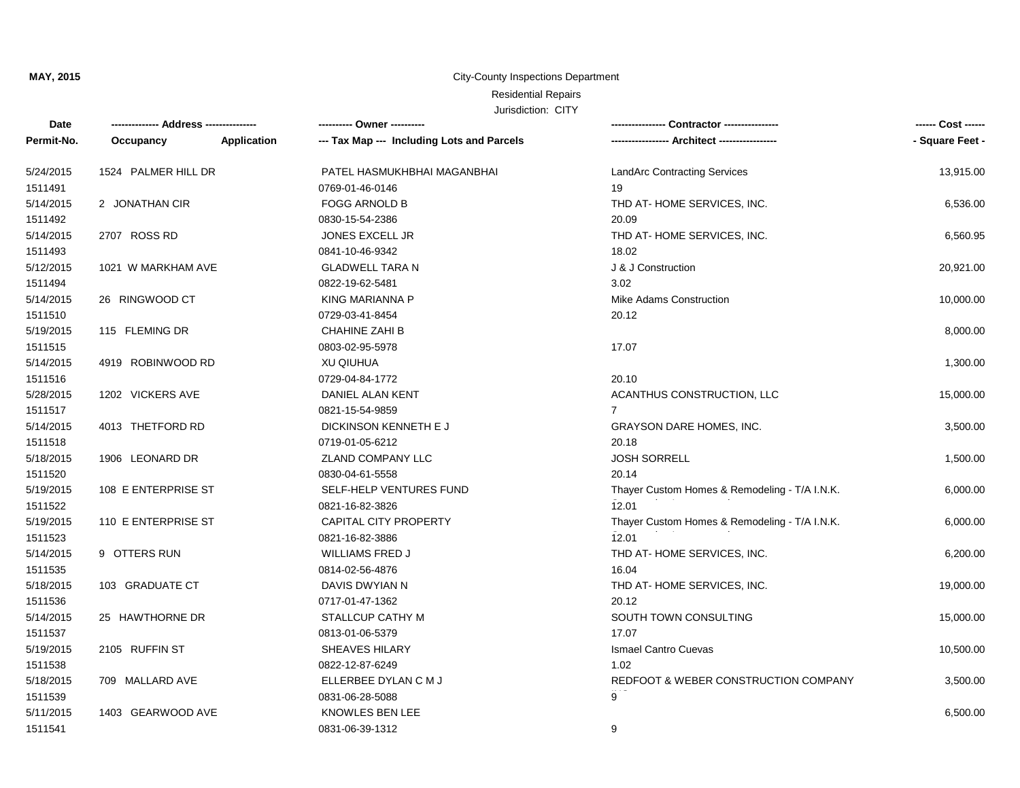#### City-County Inspections Department

## Residential Repairs

| Date       |                     |             | ---------- Owner ----------                |                                               | ------ Cost ------ |
|------------|---------------------|-------------|--------------------------------------------|-----------------------------------------------|--------------------|
| Permit-No. | Occupancy           | Application | --- Tax Map --- Including Lots and Parcels | --- Architect -------------                   | - Square Feet -    |
| 5/24/2015  | 1524 PALMER HILL DR |             | PATEL HASMUKHBHAI MAGANBHAI                | <b>LandArc Contracting Services</b>           | 13,915.00          |
| 1511491    |                     |             | 0769-01-46-0146                            | 19                                            |                    |
| 5/14/2015  | 2 JONATHAN CIR      |             | <b>FOGG ARNOLD B</b>                       | THD AT-HOME SERVICES, INC.                    | 6,536.00           |
| 1511492    |                     |             | 0830-15-54-2386                            | 20.09                                         |                    |
| 5/14/2015  | 2707 ROSS RD        |             | <b>JONES EXCELL JR</b>                     | THD AT-HOME SERVICES, INC.                    | 6,560.95           |
| 1511493    |                     |             | 0841-10-46-9342                            | 18.02                                         |                    |
| 5/12/2015  | 1021 W MARKHAM AVE  |             | <b>GLADWELL TARA N</b>                     | J & J Construction                            | 20,921.00          |
| 1511494    |                     |             | 0822-19-62-5481                            | 3.02                                          |                    |
| 5/14/2015  | 26 RINGWOOD CT      |             | <b>KING MARIANNA P</b>                     | Mike Adams Construction                       | 10,000.00          |
| 1511510    |                     |             | 0729-03-41-8454                            | 20.12                                         |                    |
| 5/19/2015  | 115 FLEMING DR      |             | <b>CHAHINE ZAHI B</b>                      |                                               | 8,000.00           |
| 1511515    |                     |             | 0803-02-95-5978                            | 17.07                                         |                    |
| 5/14/2015  | 4919 ROBINWOOD RD   |             | <b>XU QIUHUA</b>                           |                                               | 1,300.00           |
| 1511516    |                     |             | 0729-04-84-1772                            | 20.10                                         |                    |
| 5/28/2015  | 1202 VICKERS AVE    |             | DANIEL ALAN KENT                           | ACANTHUS CONSTRUCTION, LLC                    | 15,000.00          |
| 1511517    |                     |             | 0821-15-54-9859                            |                                               |                    |
| 5/14/2015  | 4013 THETFORD RD    |             | DICKINSON KENNETH E J                      | GRAYSON DARE HOMES, INC.                      | 3,500.00           |
| 1511518    |                     |             | 0719-01-05-6212                            | 20.18                                         |                    |
| 5/18/2015  | 1906 LEONARD DR     |             | ZLAND COMPANY LLC                          | <b>JOSH SORRELL</b>                           | 1,500.00           |
| 1511520    |                     |             | 0830-04-61-5558                            | 20.14                                         |                    |
| 5/19/2015  | 108 E ENTERPRISE ST |             | SELF-HELP VENTURES FUND                    | Thayer Custom Homes & Remodeling - T/A I.N.K. | 6,000.00           |
| 1511522    |                     |             | 0821-16-82-3826                            | 12.01                                         |                    |
| 5/19/2015  | 110 E ENTERPRISE ST |             | <b>CAPITAL CITY PROPERTY</b>               | Thayer Custom Homes & Remodeling - T/A I.N.K. | 6,000.00           |
| 1511523    |                     |             | 0821-16-82-3886                            | 12.01                                         |                    |
| 5/14/2015  | 9 OTTERS RUN        |             | <b>WILLIAMS FRED J</b>                     | THD AT-HOME SERVICES, INC.                    | 6,200.00           |
| 1511535    |                     |             | 0814-02-56-4876                            | 16.04                                         |                    |
| 5/18/2015  | 103 GRADUATE CT     |             | DAVIS DWYIAN N                             | THD AT-HOME SERVICES, INC.                    | 19,000.00          |
| 1511536    |                     |             | 0717-01-47-1362                            | 20.12                                         |                    |
| 5/14/2015  | 25 HAWTHORNE DR     |             | STALLCUP CATHY M                           | SOUTH TOWN CONSULTING                         | 15,000.00          |
| 1511537    |                     |             | 0813-01-06-5379                            | 17.07                                         |                    |
| 5/19/2015  | 2105 RUFFIN ST      |             | <b>SHEAVES HILARY</b>                      | <b>Ismael Cantro Cuevas</b>                   | 10,500.00          |
| 1511538    |                     |             | 0822-12-87-6249                            | 1.02                                          |                    |
| 5/18/2015  | 709 MALLARD AVE     |             | ELLERBEE DYLAN C M J                       | REDFOOT & WEBER CONSTRUCTION COMPANY          | 3,500.00           |
| 1511539    |                     |             | 0831-06-28-5088                            | 9                                             |                    |
| 5/11/2015  | 1403 GEARWOOD AVE   |             | <b>KNOWLES BEN LEE</b>                     |                                               | 6,500.00           |
| 1511541    |                     |             | 0831-06-39-1312                            | 9                                             |                    |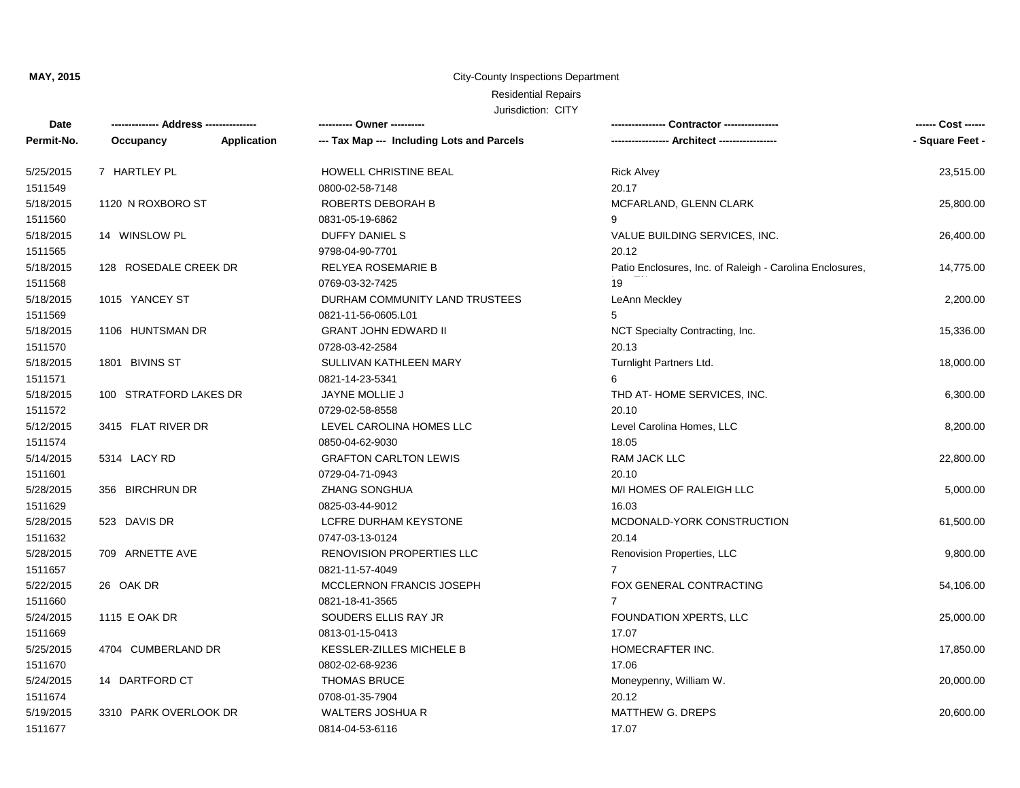#### City-County Inspections Department

## Residential Repairs

| <b>Date</b> |                        |             | ---------- Owner ----------                |                                                          | ------ Cost ------ |
|-------------|------------------------|-------------|--------------------------------------------|----------------------------------------------------------|--------------------|
| Permit-No.  | Occupancy              | Application | --- Tax Map --- Including Lots and Parcels | --- Architect ------------                               | - Square Feet -    |
| 5/25/2015   | 7 HARTLEY PL           |             | HOWELL CHRISTINE BEAL                      | <b>Rick Alvey</b>                                        | 23,515.00          |
| 1511549     |                        |             | 0800-02-58-7148                            | 20.17                                                    |                    |
| 5/18/2015   | 1120 N ROXBORO ST      |             | ROBERTS DEBORAH B                          | MCFARLAND, GLENN CLARK                                   | 25,800.00          |
| 1511560     |                        |             | 0831-05-19-6862                            | 9                                                        |                    |
| 5/18/2015   | 14 WINSLOW PL          |             | <b>DUFFY DANIEL S</b>                      | VALUE BUILDING SERVICES, INC.                            | 26,400.00          |
| 1511565     |                        |             | 9798-04-90-7701                            | 20.12                                                    |                    |
| 5/18/2015   | 128 ROSEDALE CREEK DR  |             | RELYEA ROSEMARIE B                         | Patio Enclosures, Inc. of Raleigh - Carolina Enclosures, | 14,775.00          |
| 1511568     |                        |             | 0769-03-32-7425                            | 19                                                       |                    |
| 5/18/2015   | 1015 YANCEY ST         |             | DURHAM COMMUNITY LAND TRUSTEES             | LeAnn Meckley                                            | 2,200.00           |
| 1511569     |                        |             | 0821-11-56-0605.L01                        | 5                                                        |                    |
| 5/18/2015   | 1106 HUNTSMAN DR       |             | <b>GRANT JOHN EDWARD II</b>                | NCT Specialty Contracting, Inc.                          | 15,336.00          |
| 1511570     |                        |             | 0728-03-42-2584                            | 20.13                                                    |                    |
| 5/18/2015   | 1801 BIVINS ST         |             | SULLIVAN KATHLEEN MARY                     | Turnlight Partners Ltd.                                  | 18,000.00          |
| 1511571     |                        |             | 0821-14-23-5341                            | 6                                                        |                    |
| 5/18/2015   | 100 STRATFORD LAKES DR |             | JAYNE MOLLIE J                             | THD AT-HOME SERVICES, INC.                               | 6,300.00           |
| 1511572     |                        |             | 0729-02-58-8558                            | 20.10                                                    |                    |
| 5/12/2015   | 3415 FLAT RIVER DR     |             | LEVEL CAROLINA HOMES LLC                   | Level Carolina Homes, LLC                                | 8,200.00           |
| 1511574     |                        |             | 0850-04-62-9030                            | 18.05                                                    |                    |
| 5/14/2015   | 5314 LACY RD           |             | <b>GRAFTON CARLTON LEWIS</b>               | <b>RAM JACK LLC</b>                                      | 22,800.00          |
| 1511601     |                        |             | 0729-04-71-0943                            | 20.10                                                    |                    |
| 5/28/2015   | 356 BIRCHRUN DR        |             | <b>ZHANG SONGHUA</b>                       | M/I HOMES OF RALEIGH LLC                                 | 5,000.00           |
| 1511629     |                        |             | 0825-03-44-9012                            | 16.03                                                    |                    |
| 5/28/2015   | 523 DAVIS DR           |             | LCFRE DURHAM KEYSTONE                      | MCDONALD-YORK CONSTRUCTION                               | 61,500.00          |
| 1511632     |                        |             | 0747-03-13-0124                            | 20.14                                                    |                    |
| 5/28/2015   | 709 ARNETTE AVE        |             | RENOVISION PROPERTIES LLC                  | Renovision Properties, LLC                               | 9,800.00           |
| 1511657     |                        |             | 0821-11-57-4049                            | $\overline{7}$                                           |                    |
| 5/22/2015   | 26 OAK DR              |             | MCCLERNON FRANCIS JOSEPH                   | FOX GENERAL CONTRACTING                                  | 54,106.00          |
| 1511660     |                        |             | 0821-18-41-3565                            | $\overline{7}$                                           |                    |
| 5/24/2015   | 1115 E OAK DR          |             | SOUDERS ELLIS RAY JR                       | FOUNDATION XPERTS, LLC                                   | 25,000.00          |
| 1511669     |                        |             | 0813-01-15-0413                            | 17.07                                                    |                    |
| 5/25/2015   | 4704 CUMBERLAND DR     |             | KESSLER-ZILLES MICHELE B                   | HOMECRAFTER INC.                                         | 17,850.00          |
| 1511670     |                        |             | 0802-02-68-9236                            | 17.06                                                    |                    |
| 5/24/2015   | 14 DARTFORD CT         |             | <b>THOMAS BRUCE</b>                        | Moneypenny, William W.                                   | 20,000.00          |
| 1511674     |                        |             | 0708-01-35-7904                            | 20.12                                                    |                    |
| 5/19/2015   | 3310 PARK OVERLOOK DR  |             | WALTERS JOSHUA R                           | <b>MATTHEW G. DREPS</b>                                  | 20,600.00          |
| 1511677     |                        |             | 0814-04-53-6116                            | 17.07                                                    |                    |